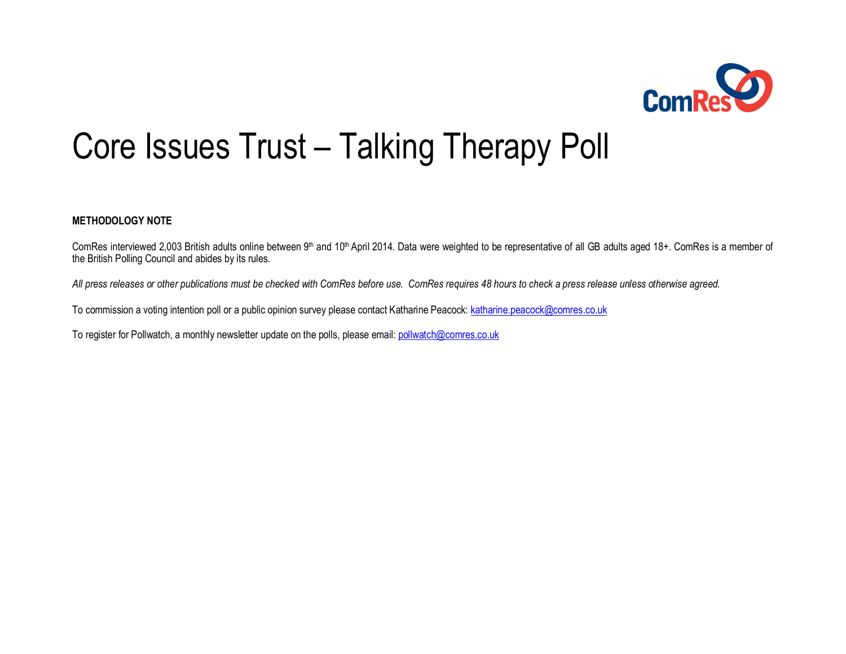

# Core Issues Trust – Talking Therapy Poll

## **METHODOLOGY NOTE**

ComRes interviewed 2,003 British adults online between 9<sup>th</sup> and 10<sup>th</sup> April 2014. Data were weighted to be representative of all GB adults aged 18+. ComRes is a member of the British Polling Council and abides by its rules.

*All press releases or other publications must be checked with ComRes before use. ComRes requires 48 hours to check a press release unless otherwise agreed.*

To commission a voting intention poll or a public opinion survey please contact Katharine Peacock: katharine.peacock@comres.co.uk

To register for Pollwatch, a monthly newsletter update on the polls, please email: pollw[atch@comres.co.uk](mailto:pollwatch@comres.co.uk)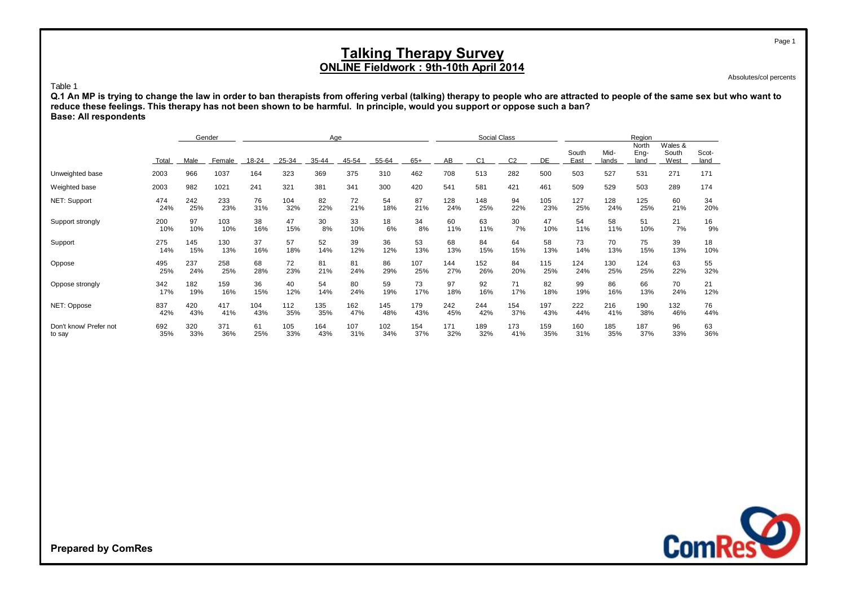Absolutes/col percents

#### Table 1

**reduce these feelings. This therapy has not been shown to be harmful. In principle, would you support or oppose such a ban? Base: All respondents Q.1 An MP is trying to change the law in order to ban therapists from offering verbal (talking) therapy to people who are attracted to people of the same sex but who want to**

|                        |       |      | Gender | Age   |       |       |       |       |       |     | Social Class   |                |     | Region        |               |                       |                          |               |  |
|------------------------|-------|------|--------|-------|-------|-------|-------|-------|-------|-----|----------------|----------------|-----|---------------|---------------|-----------------------|--------------------------|---------------|--|
|                        | Total | Male | Female | 18-24 | 25-34 | 35-44 | 45-54 | 55-64 | $65+$ | AB  | C <sub>1</sub> | C <sub>2</sub> | DE  | South<br>East | Mid-<br>lands | North<br>Eng-<br>land | Wales &<br>South<br>West | Scot-<br>land |  |
| Unweighted base        | 2003  | 966  | 1037   | 164   | 323   | 369   | 375   | 310   | 462   | 708 | 513            | 282            | 500 | 503           | 527           | 531                   | 271                      | 171           |  |
| Weighted base          | 2003  | 982  | 1021   | 241   | 321   | 381   | 341   | 300   | 420   | 541 | 581            | 421            | 461 | 509           | 529           | 503                   | 289                      | 174           |  |
| NET: Support           | 474   | 242  | 233    | 76    | 104   | 82    | 72    | 54    | 87    | 128 | 148            | 94             | 105 | 127           | 128           | 125                   | 60                       | 34            |  |
|                        | 24%   | 25%  | 23%    | 31%   | 32%   | 22%   | 21%   | 18%   | 21%   | 24% | 25%            | 22%            | 23% | 25%           | 24%           | 25%                   | 21%                      | 20%           |  |
| Support strongly       | 200   | 97   | 103    | 38    | 47    | 30    | 33    | 18    | 34    | 60  | 63             | 30             | 47  | 54            | 58            | 51                    | 21                       | 16            |  |
|                        | 10%   | 10%  | 10%    | 16%   | 15%   | 8%    | 10%   | 6%    | 8%    | 11% | 11%            | 7%             | 10% | 11%           | 11%           | 10%                   | 7%                       | 9%            |  |
| Support                | 275   | 145  | 130    | 37    | 57    | 52    | 39    | 36    | 53    | 68  | 84             | 64             | 58  | 73            | 70            | 75                    | 39                       | 18            |  |
|                        | 14%   | 15%  | 13%    | 16%   | 18%   | 14%   | 12%   | 12%   | 13%   | 13% | 15%            | 15%            | 13% | 14%           | 13%           | 15%                   | 13%                      | 10%           |  |
| Oppose                 | 495   | 237  | 258    | 68    | 72    | 81    | 81    | 86    | 107   | 144 | 152            | 84             | 115 | 124           | 130           | 124                   | 63                       | 55            |  |
|                        | 25%   | 24%  | 25%    | 28%   | 23%   | 21%   | 24%   | 29%   | 25%   | 27% | 26%            | 20%            | 25% | 24%           | 25%           | 25%                   | 22%                      | 32%           |  |
| Oppose strongly        | 342   | 182  | 159    | 36    | 40    | 54    | 80    | 59    | 73    | 97  | 92             | 71             | 82  | 99            | 86            | 66                    | 70                       | 21            |  |
|                        | 17%   | 19%  | 16%    | 15%   | 12%   | 14%   | 24%   | 19%   | 17%   | 18% | 16%            | 17%            | 18% | 19%           | 16%           | 13%                   | 24%                      | 12%           |  |
| NET: Oppose            | 837   | 420  | 417    | 104   | 112   | 135   | 162   | 145   | 179   | 242 | 244            | 154            | 197 | 222           | 216           | 190                   | 132                      | 76            |  |
|                        | 42%   | 43%  | 41%    | 43%   | 35%   | 35%   | 47%   | 48%   | 43%   | 45% | 42%            | 37%            | 43% | 44%           | 41%           | 38%                   | 46%                      | 44%           |  |
| Don't know/ Prefer not | 692   | 320  | 371    | 61    | 105   | 164   | 107   | 102   | 154   | 171 | 189            | 173            | 159 | 160           | 185           | 187                   | 96                       | 63            |  |
| to say                 | 35%   | 33%  | 36%    | 25%   | 33%   | 43%   | 31%   | 34%   | 37%   | 32% | 32%            | 41%            | 35% | 31%           | 35%           | 37%                   | 33%                      | 36%           |  |

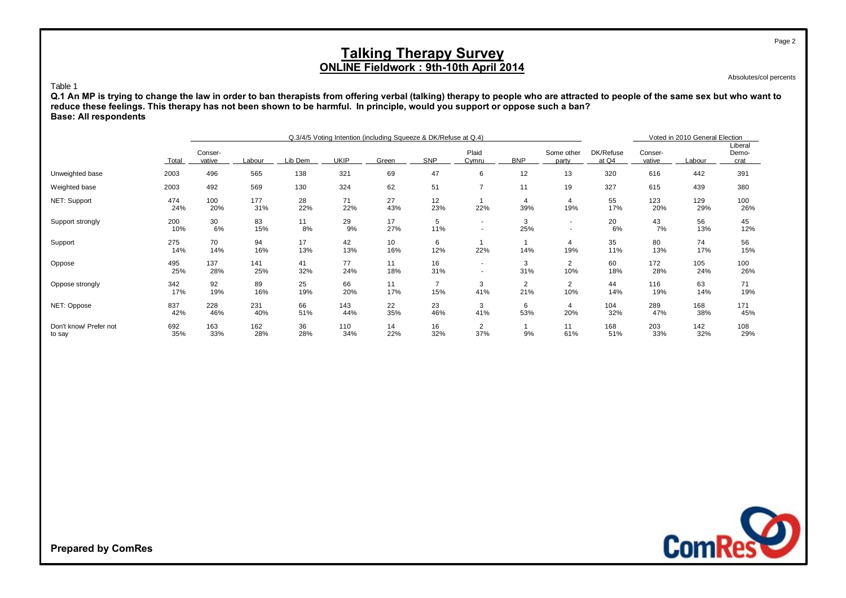Absolutes/col percents

#### Table 1

**Q.1 An MP is trying to change the law in order to ban therapists from offering verbal (talking) therapy to people who are attracted to people of the same sex but who want to reduce these feelings. This therapy has not been shown to be harmful. In principle, would you support or oppose such a ban? Base: All respondents**

|                                  |              |                   |            | Q.3/4/5 Voting Intention (including Squeeze & DK/Refuse at Q.4) |             | Voted in 2010 General Election |                       |                |                       |                       |                    |                   |            |                          |
|----------------------------------|--------------|-------------------|------------|-----------------------------------------------------------------|-------------|--------------------------------|-----------------------|----------------|-----------------------|-----------------------|--------------------|-------------------|------------|--------------------------|
|                                  | <b>Total</b> | Conser-<br>vative | Labour     | Lib Dem                                                         | <b>UKIP</b> | Green                          | <b>SNP</b>            | Plaid<br>Cymru | <b>BNP</b>            | Some other<br>party   | DK/Refuse<br>at Q4 | Conser-<br>vative | Labour     | Liberal<br>Demo-<br>crat |
| Unweighted base                  | 2003         | 496               | 565        | 138                                                             | 321         | 69                             | 47                    | 6              | 12                    | 13                    | 320                | 616               | 442        | 391                      |
| Weighted base                    | 2003         | 492               | 569        | 130                                                             | 324         | 62                             | 51                    | $\overline{7}$ | 11                    | 19                    | 327                | 615               | 439        | 380                      |
| NET: Support                     | 474<br>24%   | 100<br>20%        | 177<br>31% | 28<br>22%                                                       | 71<br>22%   | 27<br>43%                      | 12<br>23%             | 22%            | $\overline{4}$<br>39% | 4<br>19%              | 55<br>17%          | 123<br>20%        | 129<br>29% | 100<br>26%               |
| Support strongly                 | 200<br>10%   | 30<br>6%          | 83<br>15%  | 11<br>8%                                                        | 29<br>9%    | 17<br>27%                      | 5<br>11%              | ۰.<br>۰.       | 3<br>25%              | ۰.<br>۰.              | 20<br>6%           | 43<br>7%          | 56<br>13%  | 45<br>12%                |
| Support                          | 275<br>14%   | 70<br>14%         | 94<br>16%  | 17<br>13%                                                       | 42<br>13%   | 10<br>16%                      | 6<br>12%              | 22%            | 14%                   | 4<br>19%              | 35<br>11%          | 80<br>13%         | 74<br>17%  | 56<br>15%                |
| Oppose                           | 495<br>25%   | 137<br>28%        | 141<br>25% | 41<br>32%                                                       | 77<br>24%   | 11<br>18%                      | 16<br>31%             | ۰<br>۰         | 3<br>31%              | $\overline{2}$<br>10% | 60<br>18%          | 172<br>28%        | 105<br>24% | 100<br>26%               |
| Oppose strongly                  | 342<br>17%   | 92<br>19%         | 89<br>16%  | 25<br>19%                                                       | 66<br>20%   | 11<br>17%                      | $\overline{7}$<br>15% | 3<br>41%       | $\overline{2}$<br>21% | $\overline{2}$<br>10% | 44<br>14%          | 116<br>19%        | 63<br>14%  | 71<br>19%                |
| NET: Oppose                      | 837<br>42%   | 228<br>46%        | 231<br>40% | 66<br>51%                                                       | 143<br>44%  | 22<br>35%                      | 23<br>46%             | 3<br>41%       | 6<br>53%              | 4<br>20%              | 104<br>32%         | 289<br>47%        | 168<br>38% | 171<br>45%               |
| Don't know/ Prefer not<br>to say | 692<br>35%   | 163<br>33%        | 162<br>28% | 36<br>28%                                                       | 110<br>34%  | 14<br>22%                      | 16<br>32%             | 2<br>37%       | 9%                    | 11<br>61%             | 168<br>51%         | 203<br>33%        | 142<br>32% | 108<br>29%               |



**Prepared by ComRes**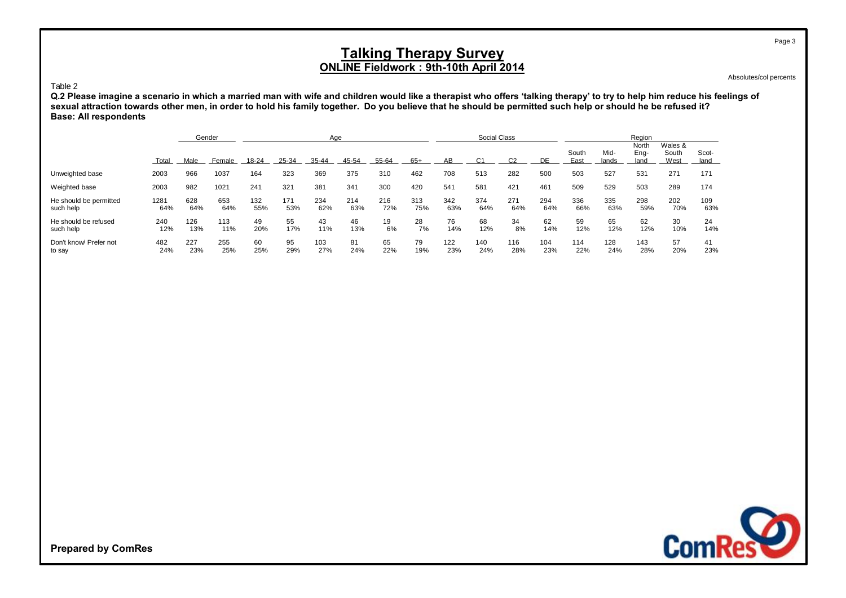Absolutes/col percents

## Table 2

**Q.2 Please imagine a scenario in which a married man with wife and children would like a therapist who offers 'talking therapy' to try to help him reduce his feelings of sexual attraction towards other men, in order to hold his family together. Do you believe that he should be permitted such help or should he be refused it? Base: All respondents**

|                                     |             |            | Gender     | Age        |            |            |            |            |            | Social Class |            |            |            | Region        |               |                       |                          |               |
|-------------------------------------|-------------|------------|------------|------------|------------|------------|------------|------------|------------|--------------|------------|------------|------------|---------------|---------------|-----------------------|--------------------------|---------------|
|                                     | Total       | Male       | Female     | 18-24      | 25-34      | 35-44      | 45-54      | 55-64      | $65+$      | AB           | C1         | C2         | DE         | South<br>East | Mid-<br>lands | North<br>Eng-<br>land | Wales &<br>South<br>West | Scot-<br>land |
| Unweighted base                     | 2003        | 966        | 1037       | 164        | 323        | 369        | 375        | 310        | 462        | 708          | 513        | 282        | 500        | 503           | 527           | 531                   | 271                      | 171           |
| Weighted base                       | 2003        | 982        | 1021       | 241        | 321        | 381        | 341        | 300        | 420        | 541          | 581        | 421        | 461        | 509           | 529           | 503                   | 289                      | 174           |
| He should be permitted<br>such help | 1281<br>64% | 628<br>64% | 653<br>64% | 132<br>55% | 171<br>53% | 234<br>62% | 214<br>63% | 216<br>72% | 313<br>75% | 342<br>63%   | 374<br>64% | 271<br>64% | 294<br>64% | 336<br>66%    | 335<br>63%    | 298<br>59%            | 202<br>70%               | 109<br>63%    |
| He should be refused<br>such help   | 240<br>12%  | 126<br>13% | 113<br>11% | 49<br>20%  | 55<br>17%  | 43<br>11%  | 46<br>13%  | 19<br>6%   | 28<br>7%   | 76<br>14%    | 68<br>12%  | 34<br>8%   | 62<br>14%  | 59<br>12%     | 65<br>12%     | 62<br>12%             | 30<br>10%                | 24<br>14%     |
| Don't know/ Prefer not<br>to say    | 482<br>24%  | 227<br>23% | 255<br>25% | 60<br>25%  | 95<br>29%  | 103<br>27% | 81<br>24%  | 65<br>22%  | 79<br>19%  | 122<br>23%   | 140<br>24% | 116<br>28% | 104<br>23% | 114<br>22%    | 128<br>24%    | 143<br>28%            | 57<br>20%                | 41<br>23%     |



**Prepared by ComRes**